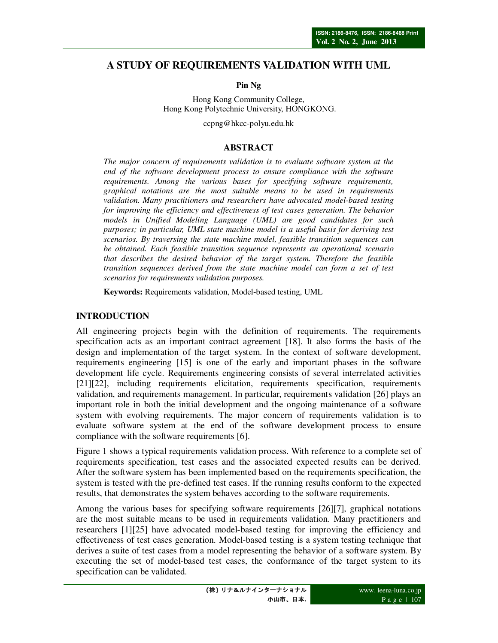# **A STUDY OF REQUIREMENTS VALIDATION WITH UML**

**Pin Ng** 

Hong Kong Community College, Hong Kong Polytechnic University, HONGKONG.

ccpng@hkcc-polyu.edu.hk

#### **ABSTRACT**

*The major concern of requirements validation is to evaluate software system at the end of the software development process to ensure compliance with the software requirements. Among the various bases for specifying software requirements, graphical notations are the most suitable means to be used in requirements validation. Many practitioners and researchers have advocated model-based testing for improving the efficiency and effectiveness of test cases generation. The behavior models in Unified Modeling Language (UML) are good candidates for such purposes; in particular, UML state machine model is a useful basis for deriving test scenarios. By traversing the state machine model, feasible transition sequences can be obtained. Each feasible transition sequence represents an operational scenario that describes the desired behavior of the target system. Therefore the feasible transition sequences derived from the state machine model can form a set of test scenarios for requirements validation purposes.* 

**Keywords:** Requirements validation, Model-based testing, UML

#### **INTRODUCTION**

All engineering projects begin with the definition of requirements. The requirements specification acts as an important contract agreement [18]. It also forms the basis of the design and implementation of the target system. In the context of software development, requirements engineering [15] is one of the early and important phases in the software development life cycle. Requirements engineering consists of several interrelated activities [21][22], including requirements elicitation, requirements specification, requirements validation, and requirements management. In particular, requirements validation [26] plays an important role in both the initial development and the ongoing maintenance of a software system with evolving requirements. The major concern of requirements validation is to evaluate software system at the end of the software development process to ensure compliance with the software requirements [6].

Figure 1 shows a typical requirements validation process. With reference to a complete set of requirements specification, test cases and the associated expected results can be derived. After the software system has been implemented based on the requirements specification, the system is tested with the pre-defined test cases. If the running results conform to the expected results, that demonstrates the system behaves according to the software requirements.

Among the various bases for specifying software requirements [26][7], graphical notations are the most suitable means to be used in requirements validation. Many practitioners and researchers [1][25] have advocated model-based testing for improving the efficiency and effectiveness of test cases generation. Model-based testing is a system testing technique that derives a suite of test cases from a model representing the behavior of a software system. By executing the set of model-based test cases, the conformance of the target system to its specification can be validated.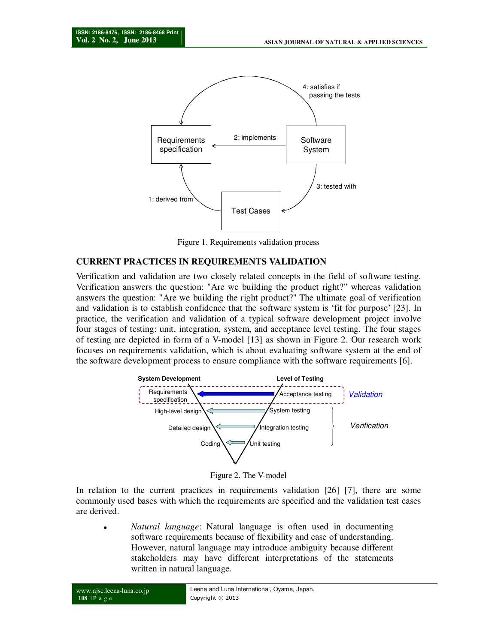

Figure 1. Requirements validation process

### **CURRENT PRACTICES IN REQUIREMENTS VALIDATION**

Verification and validation are two closely related concepts in the field of software testing. Verification answers the question: "Are we building the product right?" whereas validation answers the question: "Are we building the right product?" The ultimate goal of verification and validation is to establish confidence that the software system is 'fit for purpose' [23]. In practice, the verification and validation of a typical software development project involve four stages of testing: unit, integration, system, and acceptance level testing. The four stages of testing are depicted in form of a V-model [13] as shown in Figure 2. Our research work focuses on requirements validation, which is about evaluating software system at the end of the software development process to ensure compliance with the software requirements [6].



Figure 2. The V-model

In relation to the current practices in requirements validation [26] [7], there are some commonly used bases with which the requirements are specified and the validation test cases are derived.

 *Natural language*: Natural language is often used in documenting software requirements because of flexibility and ease of understanding. However, natural language may introduce ambiguity because different stakeholders may have different interpretations of the statements written in natural language.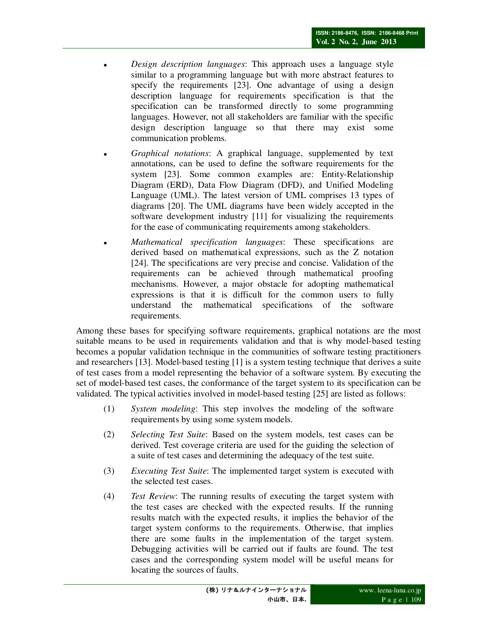- *Design description languages*: This approach uses a language style similar to a programming language but with more abstract features to specify the requirements [23]. One advantage of using a design description language for requirements specification is that the specification can be transformed directly to some programming languages. However, not all stakeholders are familiar with the specific design description language so that there may exist some communication problems.
- *Graphical notations*: A graphical language, supplemented by text annotations, can be used to define the software requirements for the system [23]. Some common examples are: Entity-Relationship Diagram (ERD), Data Flow Diagram (DFD), and Unified Modeling Language (UML). The latest version of UML comprises 13 types of diagrams [20]. The UML diagrams have been widely accepted in the software development industry [11] for visualizing the requirements for the ease of communicating requirements among stakeholders.
- *Mathematical specification languages*: These specifications are derived based on mathematical expressions, such as the Z notation [24]. The specifications are very precise and concise. Validation of the requirements can be achieved through mathematical proofing mechanisms. However, a major obstacle for adopting mathematical expressions is that it is difficult for the common users to fully understand the mathematical specifications of the software requirements.

Among these bases for specifying software requirements, graphical notations are the most suitable means to be used in requirements validation and that is why model-based testing becomes a popular validation technique in the communities of software testing practitioners and researchers [13]. Model-based testing [1] is a system testing technique that derives a suite of test cases from a model representing the behavior of a software system. By executing the set of model-based test cases, the conformance of the target system to its specification can be validated. The typical activities involved in model-based testing [25] are listed as follows:

- (1) *System modeling*: This step involves the modeling of the software requirements by using some system models.
- (2) *Selecting Test Suite*: Based on the system models, test cases can be derived. Test coverage criteria are used for the guiding the selection of a suite of test cases and determining the adequacy of the test suite.
- (3) *Executing Test Suite*: The implemented target system is executed with the selected test cases.
- (4) *Test Review*: The running results of executing the target system with the test cases are checked with the expected results. If the running results match with the expected results, it implies the behavior of the target system conforms to the requirements. Otherwise, that implies there are some faults in the implementation of the target system. Debugging activities will be carried out if faults are found. The test cases and the corresponding system model will be useful means for locating the sources of faults.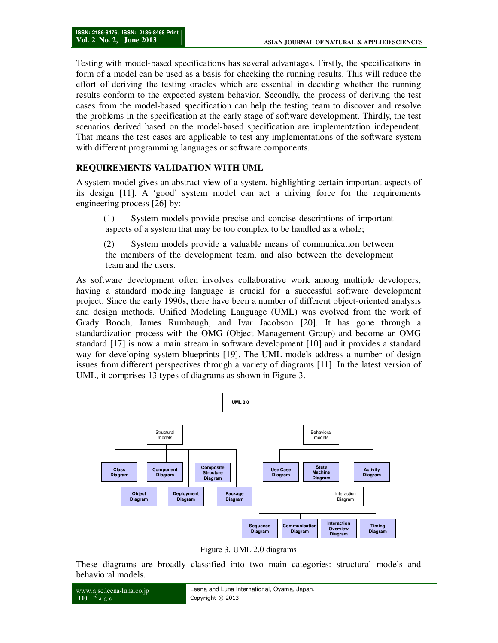Testing with model-based specifications has several advantages. Firstly, the specifications in form of a model can be used as a basis for checking the running results. This will reduce the effort of deriving the testing oracles which are essential in deciding whether the running results conform to the expected system behavior. Secondly, the process of deriving the test cases from the model-based specification can help the testing team to discover and resolve the problems in the specification at the early stage of software development. Thirdly, the test scenarios derived based on the model-based specification are implementation independent. That means the test cases are applicable to test any implementations of the software system with different programming languages or software components.

### **REQUIREMENTS VALIDATION WITH UML**

A system model gives an abstract view of a system, highlighting certain important aspects of its design [11]. A 'good' system model can act a driving force for the requirements engineering process [26] by:

(1) System models provide precise and concise descriptions of important aspects of a system that may be too complex to be handled as a whole;

(2) System models provide a valuable means of communication between the members of the development team, and also between the development team and the users.

As software development often involves collaborative work among multiple developers, having a standard modeling language is crucial for a successful software development project. Since the early 1990s, there have been a number of different object-oriented analysis and design methods. Unified Modeling Language (UML) was evolved from the work of Grady Booch, James Rumbaugh, and Ivar Jacobson [20]. It has gone through a standardization process with the OMG (Object Management Group) and become an OMG standard [17] is now a main stream in software development [10] and it provides a standard way for developing system blueprints [19]. The UML models address a number of design issues from different perspectives through a variety of diagrams [11]. In the latest version of UML, it comprises 13 types of diagrams as shown in Figure 3.



Figure 3. UML 2.0 diagrams

These diagrams are broadly classified into two main categories: structural models and behavioral models.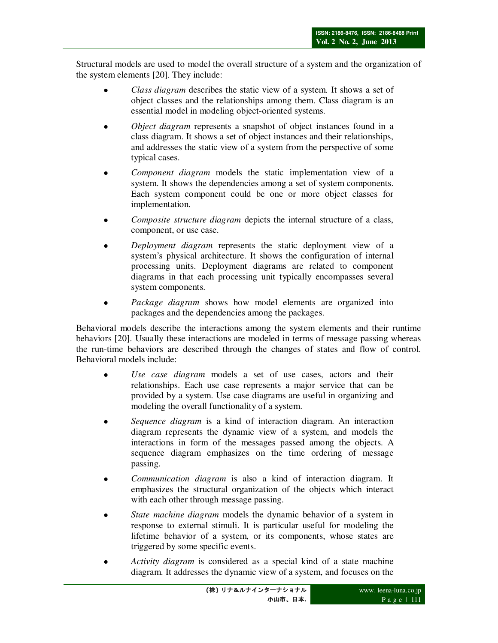Structural models are used to model the overall structure of a system and the organization of the system elements [20]. They include:

- *Class diagram* describes the static view of a system. It shows a set of object classes and the relationships among them. Class diagram is an essential model in modeling object-oriented systems.
- *Object diagram* represents a snapshot of object instances found in a class diagram. It shows a set of object instances and their relationships, and addresses the static view of a system from the perspective of some typical cases.
- *Component diagram* models the static implementation view of a system. It shows the dependencies among a set of system components. Each system component could be one or more object classes for implementation.
- *Composite structure diagram* depicts the internal structure of a class, component, or use case.
- *Deployment diagram* represents the static deployment view of a system's physical architecture. It shows the configuration of internal processing units. Deployment diagrams are related to component diagrams in that each processing unit typically encompasses several system components.
- *Package diagram* shows how model elements are organized into packages and the dependencies among the packages.

Behavioral models describe the interactions among the system elements and their runtime behaviors [20]. Usually these interactions are modeled in terms of message passing whereas the run-time behaviors are described through the changes of states and flow of control. Behavioral models include:

- *Use case diagram* models a set of use cases, actors and their relationships. Each use case represents a major service that can be provided by a system. Use case diagrams are useful in organizing and modeling the overall functionality of a system.
- *Sequence diagram* is a kind of interaction diagram. An interaction diagram represents the dynamic view of a system, and models the interactions in form of the messages passed among the objects. A sequence diagram emphasizes on the time ordering of message passing.
- *Communication diagram* is also a kind of interaction diagram. It emphasizes the structural organization of the objects which interact with each other through message passing.
- *State machine diagram* models the dynamic behavior of a system in response to external stimuli. It is particular useful for modeling the lifetime behavior of a system, or its components, whose states are triggered by some specific events.
- *Activity diagram* is considered as a special kind of a state machine diagram. It addresses the dynamic view of a system, and focuses on the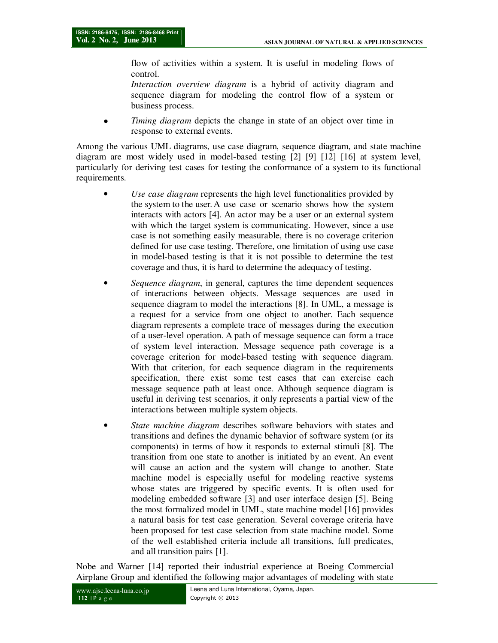flow of activities within a system. It is useful in modeling flows of control.

*Interaction overview diagram* is a hybrid of activity diagram and sequence diagram for modeling the control flow of a system or business process.

 *Timing diagram* depicts the change in state of an object over time in response to external events.

Among the various UML diagrams, use case diagram, sequence diagram, and state machine diagram are most widely used in model-based testing [2] [9] [12] [16] at system level, particularly for deriving test cases for testing the conformance of a system to its functional requirements.

- *Use case diagram* represents the high level functionalities provided by the system to the user. A use case or scenario shows how the system interacts with actors [4]. An actor may be a user or an external system with which the target system is communicating. However, since a use case is not something easily measurable, there is no coverage criterion defined for use case testing. Therefore, one limitation of using use case in model-based testing is that it is not possible to determine the test coverage and thus, it is hard to determine the adequacy of testing.
- *Sequence diagram*, in general, captures the time dependent sequences of interactions between objects. Message sequences are used in sequence diagram to model the interactions [8]. In UML, a message is a request for a service from one object to another. Each sequence diagram represents a complete trace of messages during the execution of a user-level operation. A path of message sequence can form a trace of system level interaction. Message sequence path coverage is a coverage criterion for model-based testing with sequence diagram. With that criterion, for each sequence diagram in the requirements specification, there exist some test cases that can exercise each message sequence path at least once. Although sequence diagram is useful in deriving test scenarios, it only represents a partial view of the interactions between multiple system objects.
- *State machine diagram* describes software behaviors with states and transitions and defines the dynamic behavior of software system (or its components) in terms of how it responds to external stimuli [8]. The transition from one state to another is initiated by an event. An event will cause an action and the system will change to another. State machine model is especially useful for modeling reactive systems whose states are triggered by specific events. It is often used for modeling embedded software [3] and user interface design [5]. Being the most formalized model in UML, state machine model [16] provides a natural basis for test case generation. Several coverage criteria have been proposed for test case selection from state machine model. Some of the well established criteria include all transitions, full predicates, and all transition pairs [1].

Nobe and Warner [14] reported their industrial experience at Boeing Commercial Airplane Group and identified the following major advantages of modeling with state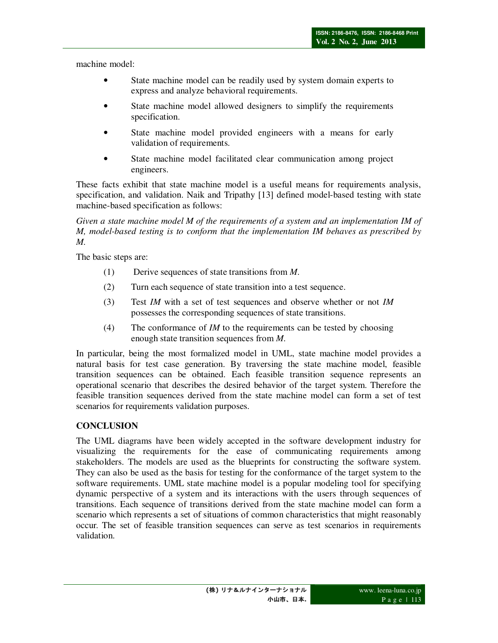machine model:

- State machine model can be readily used by system domain experts to express and analyze behavioral requirements.
- State machine model allowed designers to simplify the requirements specification.
- State machine model provided engineers with a means for early validation of requirements.
- State machine model facilitated clear communication among project engineers.

These facts exhibit that state machine model is a useful means for requirements analysis, specification, and validation. Naik and Tripathy [13] defined model-based testing with state machine-based specification as follows:

*Given a state machine model M of the requirements of a system and an implementation IM of M, model-based testing is to conform that the implementation IM behaves as prescribed by M.* 

The basic steps are:

- (1) Derive sequences of state transitions from *M*.
- (2) Turn each sequence of state transition into a test sequence.
- (3) Test *IM* with a set of test sequences and observe whether or not *IM* possesses the corresponding sequences of state transitions.
- (4) The conformance of *IM* to the requirements can be tested by choosing enough state transition sequences from *M*.

In particular, being the most formalized model in UML, state machine model provides a natural basis for test case generation. By traversing the state machine model, feasible transition sequences can be obtained. Each feasible transition sequence represents an operational scenario that describes the desired behavior of the target system. Therefore the feasible transition sequences derived from the state machine model can form a set of test scenarios for requirements validation purposes.

## **CONCLUSION**

The UML diagrams have been widely accepted in the software development industry for visualizing the requirements for the ease of communicating requirements among stakeholders. The models are used as the blueprints for constructing the software system. They can also be used as the basis for testing for the conformance of the target system to the software requirements. UML state machine model is a popular modeling tool for specifying dynamic perspective of a system and its interactions with the users through sequences of transitions. Each sequence of transitions derived from the state machine model can form a scenario which represents a set of situations of common characteristics that might reasonably occur. The set of feasible transition sequences can serve as test scenarios in requirements validation.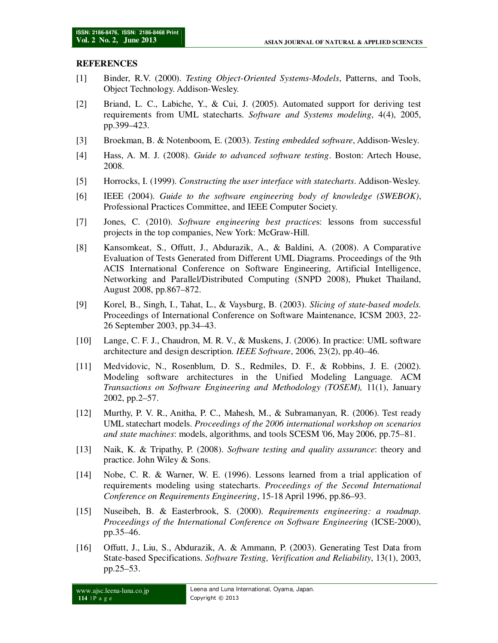#### **REFERENCES**

- [1] Binder, R.V. (2000). *Testing Object-Oriented Systems-Models*, Patterns, and Tools, Object Technology. Addison-Wesley.
- [2] Briand, L. C., Labiche, Y., & Cui, J. (2005). Automated support for deriving test requirements from UML statecharts. *Software and Systems modeling*, 4(4), 2005, pp.399–423.
- [3] Broekman, B. & Notenboom, E. (2003). *Testing embedded software*, Addison-Wesley.
- [4] Hass, A. M. J. (2008). *Guide to advanced software testing*. Boston: Artech House, 2008.
- [5] Horrocks, I. (1999). *Constructing the user interface with statecharts*. Addison-Wesley.
- [6] IEEE (2004). *Guide to the software engineering body of knowledge (SWEBOK)*, Professional Practices Committee, and IEEE Computer Society.
- [7] Jones, C. (2010). *Software engineering best practice*s: lessons from successful projects in the top companies, New York: McGraw-Hill.
- [8] Kansomkeat, S., Offutt, J., Abdurazik, A., & Baldini, A. (2008). A Comparative Evaluation of Tests Generated from Different UML Diagrams. Proceedings of the 9th ACIS International Conference on Software Engineering, Artificial Intelligence, Networking and Parallel/Distributed Computing (SNPD 2008), Phuket Thailand, August 2008, pp.867–872.
- [9] Korel, B., Singh, I., Tahat, L., & Vaysburg, B. (2003). *Slicing of state-based models.* Proceedings of International Conference on Software Maintenance, ICSM 2003, 22- 26 September 2003, pp.34–43.
- [10] Lange, C. F. J., Chaudron, M. R. V., & Muskens, J. (2006). In practice: UML software architecture and design description. *IEEE Software*, 2006, 23(2), pp.40–46.
- [11] Medvidovic, N., Rosenblum, D. S., Redmiles, D. F., & Robbins, J. E. (2002). Modeling software architectures in the Unified Modeling Language. ACM *Transactions on Software Engineering and Methodology (TOSEM),* 11(1), January 2002, pp.2–57.
- [12] Murthy, P. V. R., Anitha, P. C., Mahesh, M., & Subramanyan, R. (2006). Test ready UML statechart models. *Proceedings of the 2006 international workshop on scenarios and state machines*: models, algorithms, and tools SCESM '06, May 2006, pp.75–81.
- [13] Naik, K. & Tripathy, P. (2008). *Software testing and quality assurance*: theory and practice. John Wiley & Sons.
- [14] Nobe, C. R. & Warner, W. E. (1996). Lessons learned from a trial application of requirements modeling using statecharts. *Proceedings of the Second International Conference on Requirements Engineering*, 15-18 April 1996, pp.86–93.
- [15] Nuseibeh, B. & Easterbrook, S. (2000). *Requirements engineering: a roadmap. Proceedings of the International Conference on Software Engineering* (ICSE-2000), pp.35–46.
- [16] Offutt, J., Liu, S., Abdurazik, A. & Ammann, P. (2003). Generating Test Data from State-based Specifications. *Software Testing, Verification and Reliability*, 13(1), 2003, pp.25–53.